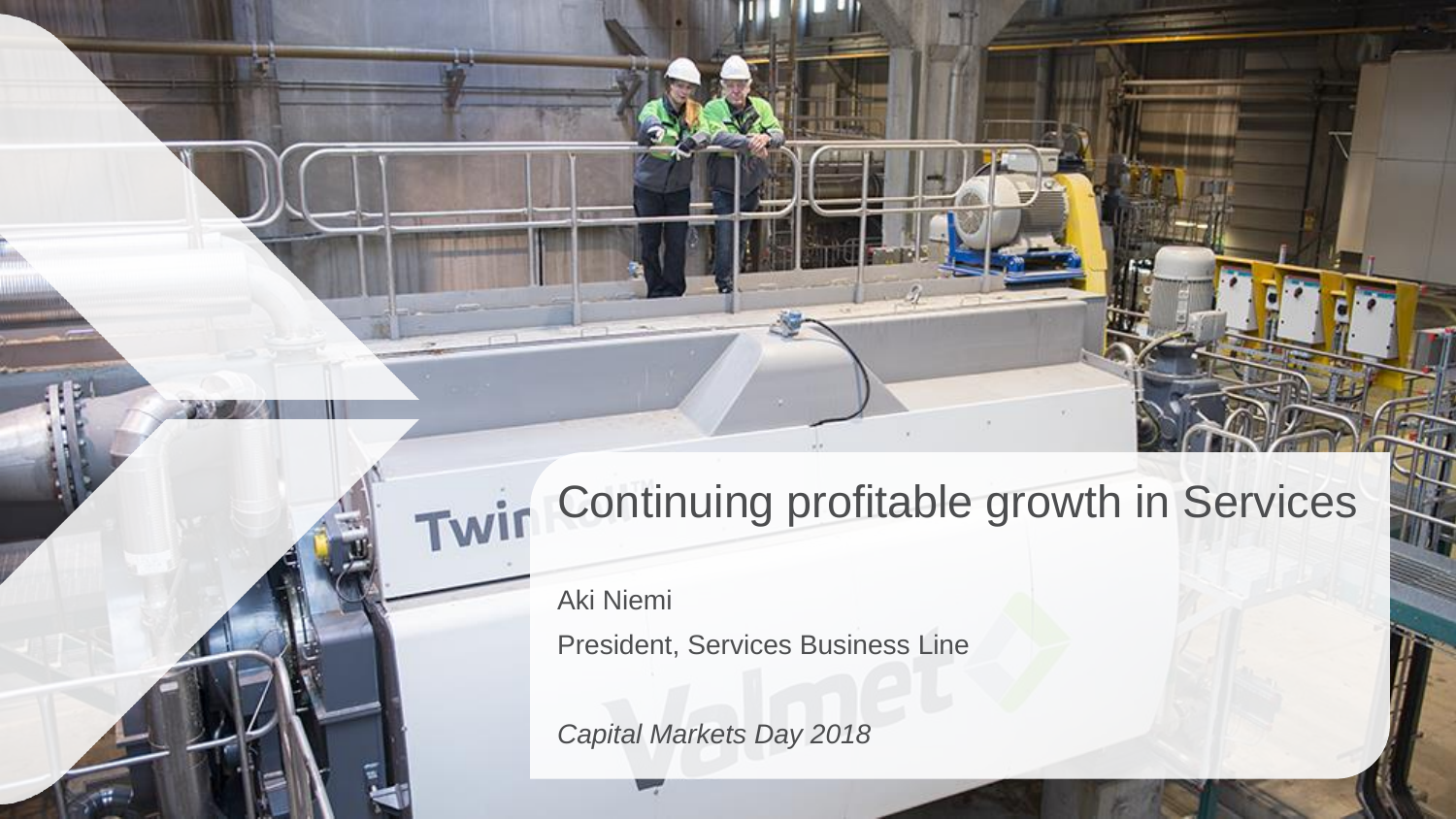# Continuing profitable growth in Services

Aki Niemi President, Services Business Line

*Capital Markets Day 2018*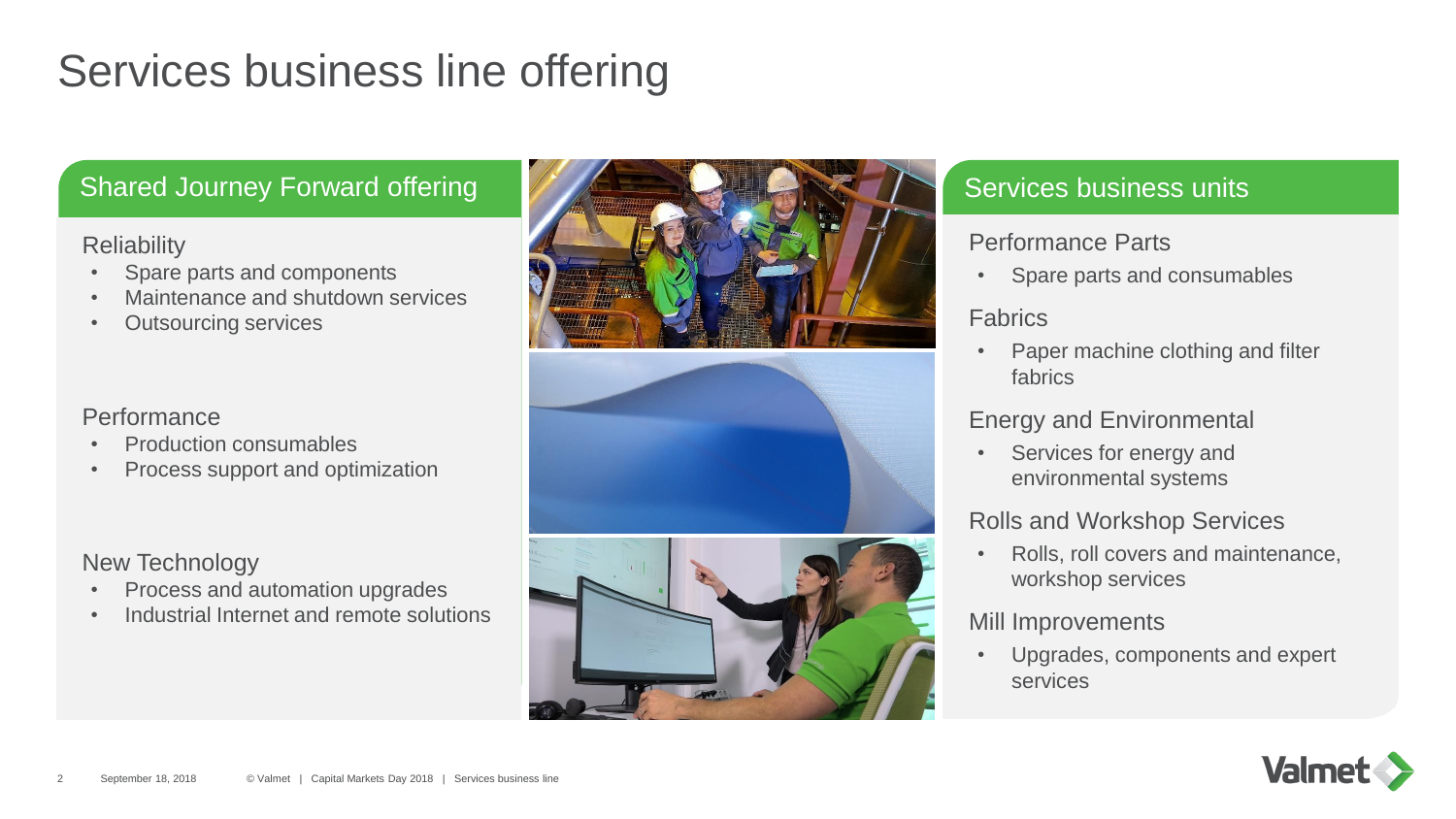### Services business line offering

#### Shared Journey Forward offering Shared Journey Forward offering Services business units

#### **Reliability**

- Spare parts and components
- Maintenance and shutdown services
- **Outsourcing services**

#### **Performance**

- Production consumables
- Process support and optimization

New Technology

- Process and automation upgrades
- Industrial Internet and remote solutions







#### Performance Parts

• Spare parts and consumables

#### Fabrics

• Paper machine clothing and filter fabrics

#### Energy and Environmental

• Services for energy and environmental systems

#### Rolls and Workshop Services

• Rolls, roll covers and maintenance, workshop services

#### Mill Improvements

• Upgrades, components and expert services

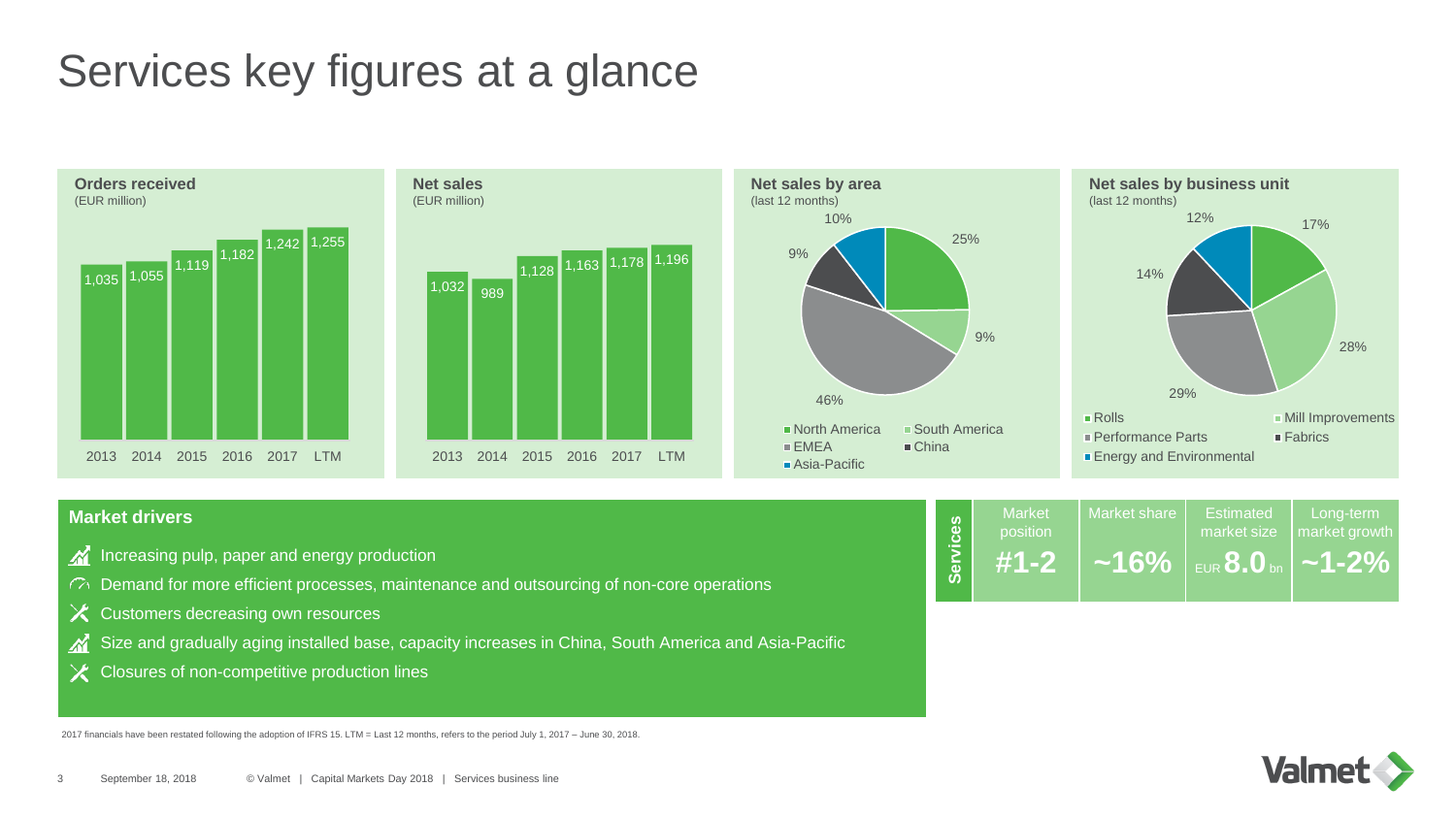### Services key figures at a glance



#### **Market drivers**

- Increasing pulp, paper and energy production
- $\mathcal{C}^{\lambda}$  Demand for more efficient processes, maintenance and outsourcing of non-core operations
- $X$  Customers decreasing own resources
- Size and gradually aging installed base, capacity increases in China, South America and Asia-Pacific
- $\times$  Closures of non-competitive production lines

2017 financials have been restated following the adoption of IFRS 15. LTM = Last 12 months, refers to the period July 1, 2017 – June 30, 2018.

| <u>vices</u> | <b>Market</b><br>position | Market share | Estimated<br>market size        | Long-term<br>market growth |
|--------------|---------------------------|--------------|---------------------------------|----------------------------|
| <b>Serv</b>  | $#1 - 2$                  | $~16\%$      | I EUR $\bf{8.0}$ bn $\parallel$ | $\sim$ 1-2% $^{\prime}$    |

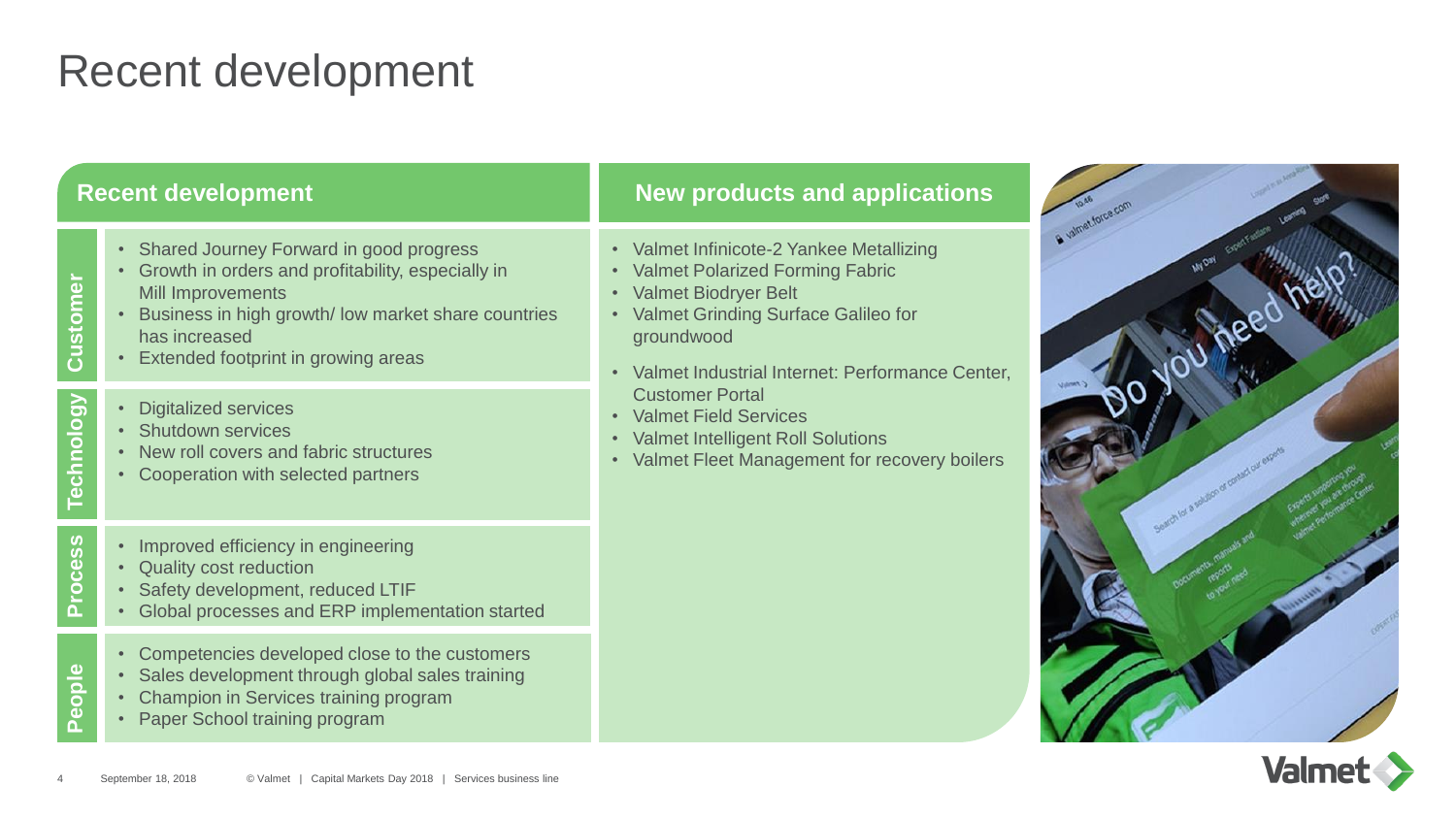### Recent development

#### **Recent development**

- Shared Journey Forward in good progress
- Growth in orders and profitability, especially in Mill Improvements
- 4<br> **4** September 18, 2018<br> **Extended footprint in growing areas**<br>
 Business in high growth/ low market share countries<br>
has increased<br>
 Extended footprint in growing areas<br>
 Sigitalized services<br>
 Sundown services<br>
 • Business in high growth/ low market share countries has increased
	- Extended footprint in growing areas
	- Digitalized services

**Technology**

**Process**

**People**

- Shutdown services
- New roll covers and fabric structures
- Cooperation with selected partners
- Improved efficiency in engineering
- Quality cost reduction
- Safety development, reduced LTIF
- Global processes and ERP implementation started
- Competencies developed close to the customers
- Sales development through global sales training
- Champion in Services training program
- Paper School training program

#### **New products and applications**

- Valmet Infinicote-2 Yankee Metallizing
- Valmet Polarized Forming Fabric
- Valmet Biodryer Belt
- Valmet Grinding Surface Galileo for groundwood
- Valmet Industrial Internet: Performance Center, Customer Portal
- Valmet Field Services
- Valmet Intelligent Roll Solutions
- Valmet Fleet Management for recovery boilers



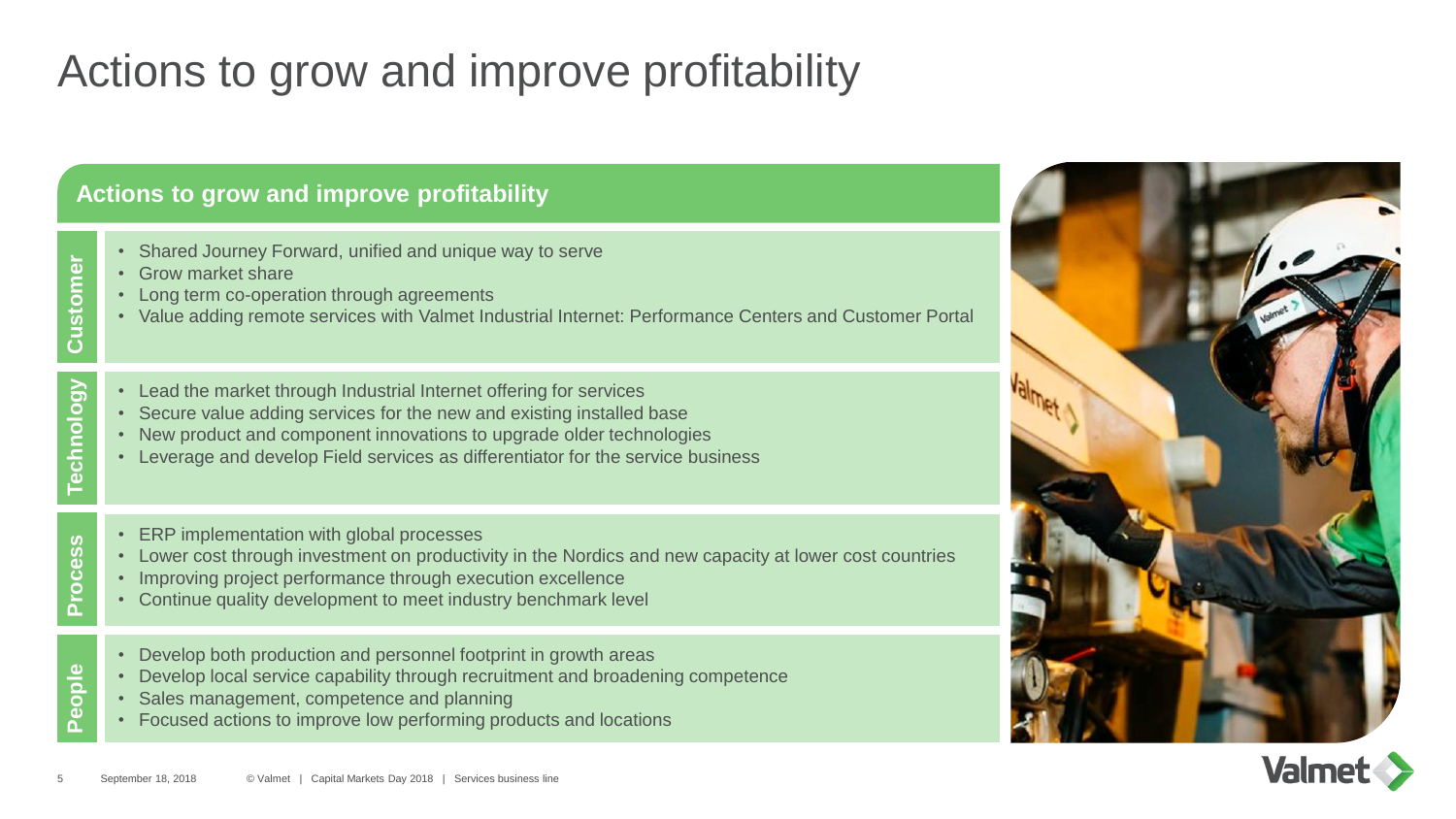### Actions to grow and improve profitability

#### **Actions to grow and improve profitability**

- Shared Journey Forward, unified and unique way to serve
- Grow market share

**Process**

**People**

- Long term co-operation through agreements
- Value adding remote services with Valmet Industrial Internet: Performance Centers and Customer Portal
- From the state of the matter of the matter share<br>
Society market share<br>
Society defines a control of the matter of ferring f<br>
Society and the market through Industrial Internet offering f<br>
Society and the market through **Technology** • Lead the market through Industrial Internet offering for services
	- Secure value adding services for the new and existing installed base
	- New product and component innovations to upgrade older technologies
	- Leverage and develop Field services as differentiator for the service business
	- ERP implementation with global processes
	- Lower cost through investment on productivity in the Nordics and new capacity at lower cost countries
	- Improving project performance through execution excellence
	- Continue quality development to meet industry benchmark level
	- Develop both production and personnel footprint in growth areas
	- Develop local service capability through recruitment and broadening competence
	- Sales management, competence and planning
	- Focused actions to improve low performing products and locations



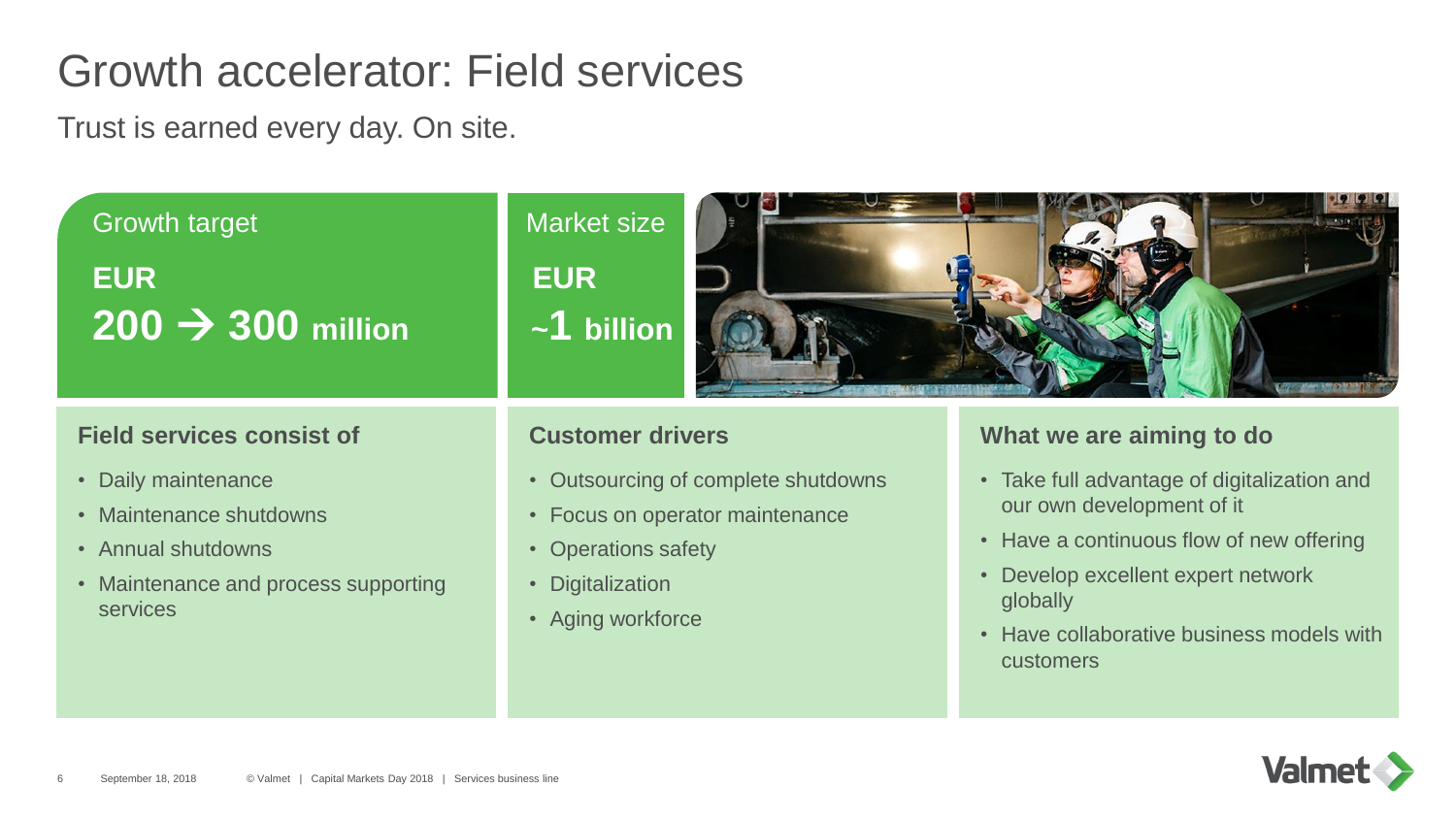### Growth accelerator: Field services

Trust is earned every day. On site.



#### **Field services consist of**

- Daily maintenance
- Maintenance shutdowns
- Annual shutdowns
- Maintenance and process supporting services

#### **Customer drivers**

- Outsourcing of complete shutdowns
- Focus on operator maintenance
- Operations safety
- Digitalization
- Aging workforce

#### **What we are aiming to do**

- Take full advantage of digitalization and our own development of it
- Have a continuous flow of new offering
- Develop excellent expert network globally
- Have collaborative business models with customers

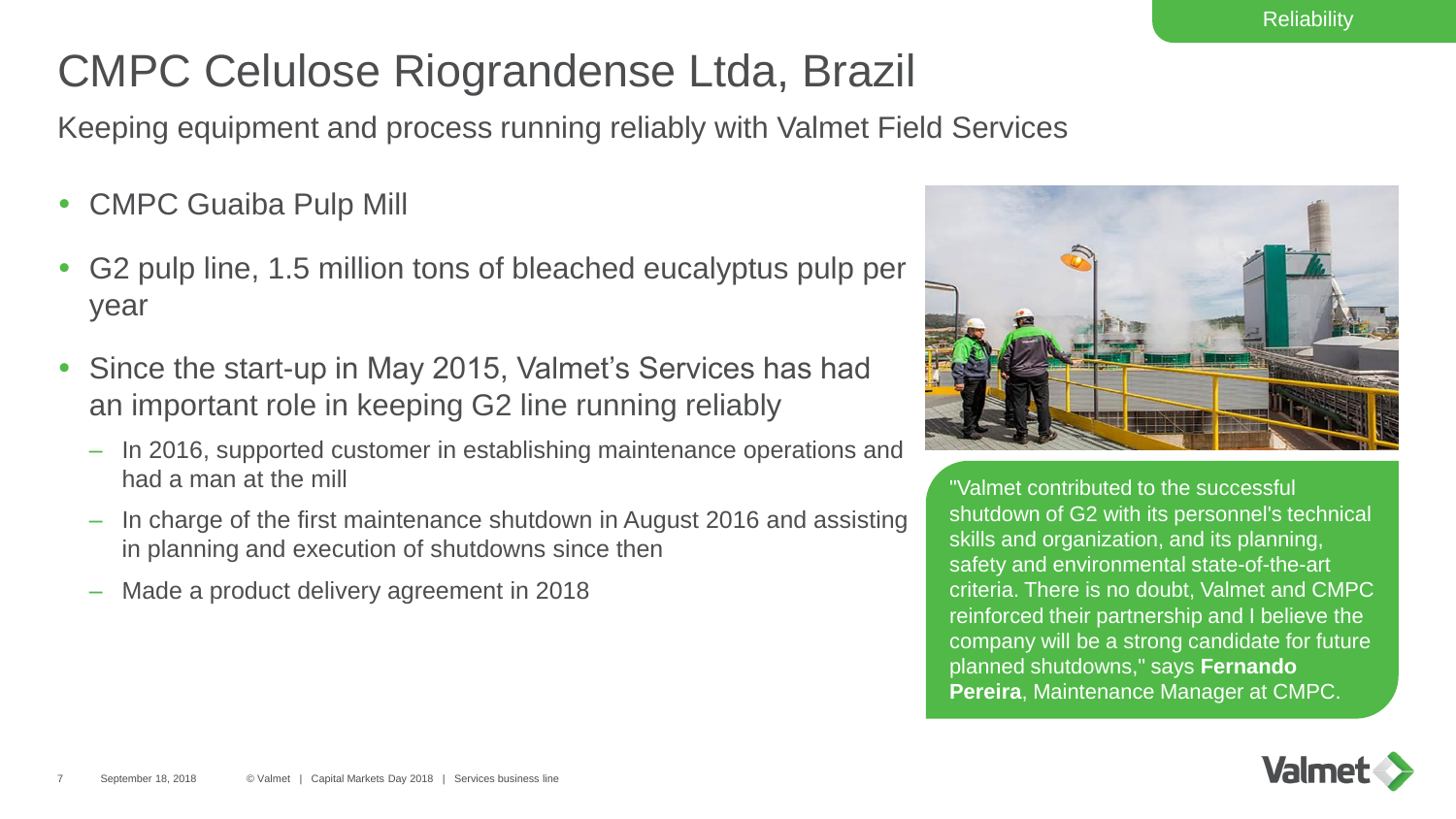## CMPC Celulose Riograndense Ltda, Brazil

Keeping equipment and process running reliably with Valmet Field Services

- CMPC Guaiba Pulp Mill
- G2 pulp line, 1.5 million tons of bleached eucalyptus pulp per year
- Since the start-up in May 2015, Valmet's Services has had an important role in keeping G2 line running reliably
	- In 2016, supported customer in establishing maintenance operations and had a man at the mill
	- In charge of the first maintenance shutdown in August 2016 and assisting in planning and execution of shutdowns since then
	- Made a product delivery agreement in 2018



"Valmet contributed to the successful shutdown of G2 with its personnel's technical skills and organization, and its planning, safety and environmental state-of-the-art criteria. There is no doubt, Valmet and CMPC reinforced their partnership and I believe the company will be a strong candidate for future planned shutdowns," says **Fernando Pereira**, Maintenance Manager at CMPC.

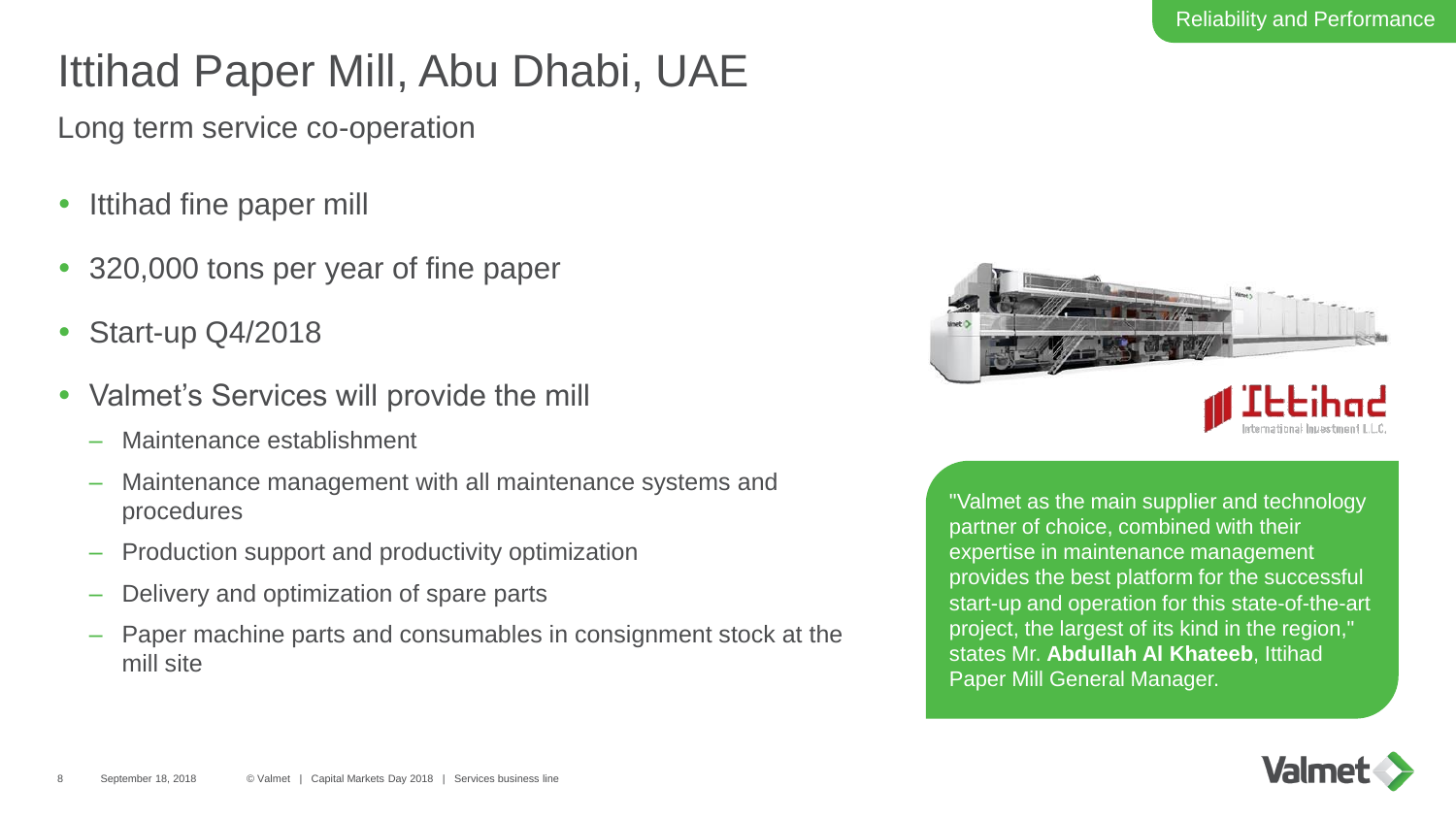### Ittihad Paper Mill, Abu Dhabi, UAE

Long term service co-operation

- Ittihad fine paper mill
- 320,000 tons per year of fine paper
- Start-up Q4/2018
- Valmet's Services will provide the mill
	- Maintenance establishment
	- Maintenance management with all maintenance systems and procedures
	- Production support and productivity optimization
	- Delivery and optimization of spare parts
	- Paper machine parts and consumables in consignment stock at the mill site



"Valmet as the main supplier and technology partner of choice, combined with their expertise in maintenance management provides the best platform for the successful start-up and operation for this state-of-the-art project, the largest of its kind in the region," states Mr. **Abdullah Al Khateeb**, Ittihad Paper Mill General Manager.

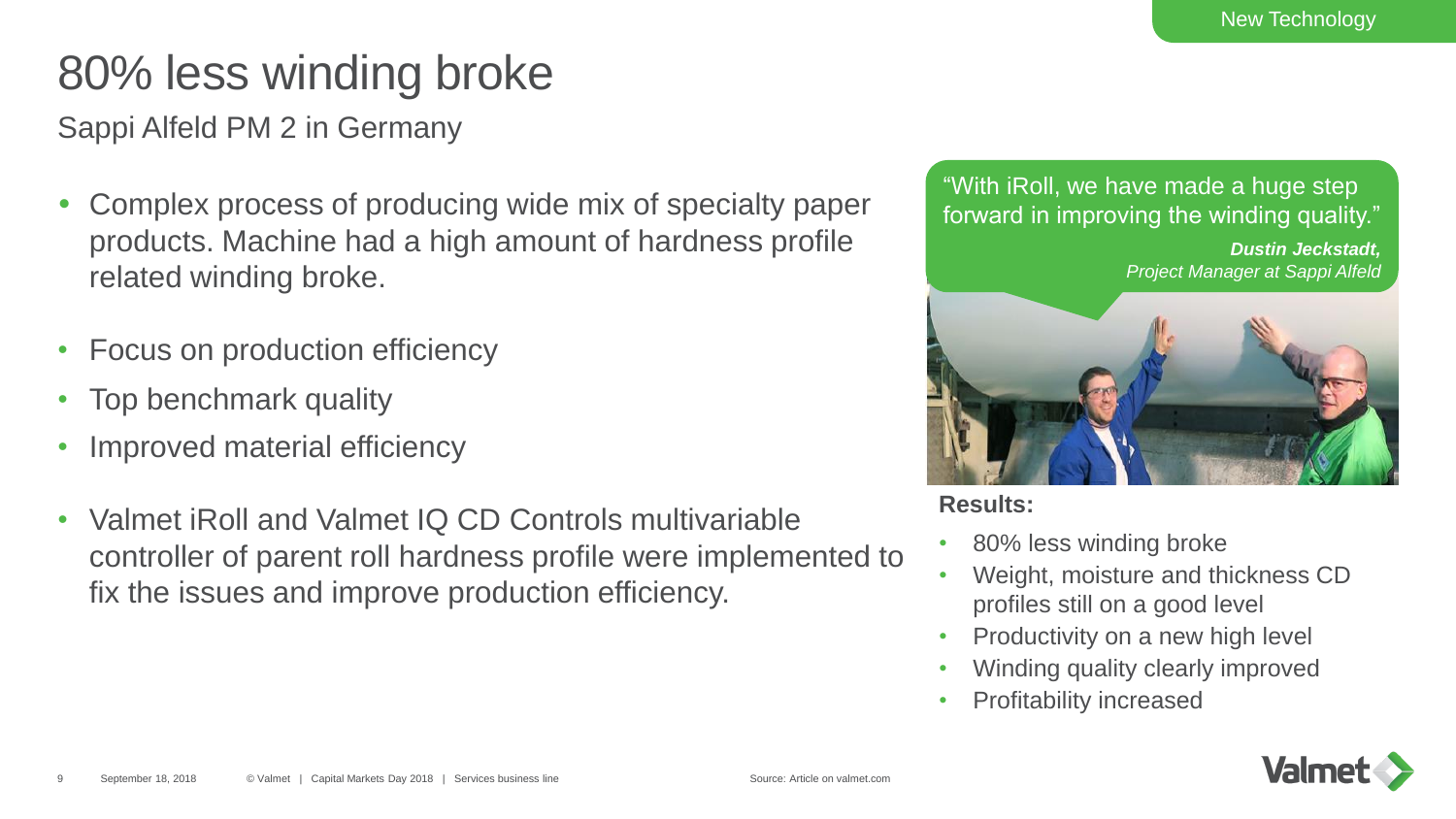## 80% less winding broke

Sappi Alfeld PM 2 in Germany

- Complex process of producing wide mix of specialty paper products. Machine had a high amount of hardness profile related winding broke.
- Focus on production efficiency
- Top benchmark quality
- Improved material efficiency
- Valmet iRoll and Valmet IQ CD Controls multivariable controller of parent roll hardness profile were implemented to fix the issues and improve production efficiency.

"With iRoll, we have made a huge step forward in improving the winding quality."

> *Dustin Jeckstadt, Project Manager at Sappi Alfeld*



**Results:**

- 80% less winding broke
- Weight, moisture and thickness CD profiles still on a good level
- Productivity on a new high level
- Winding quality clearly improved
- Profitability increased

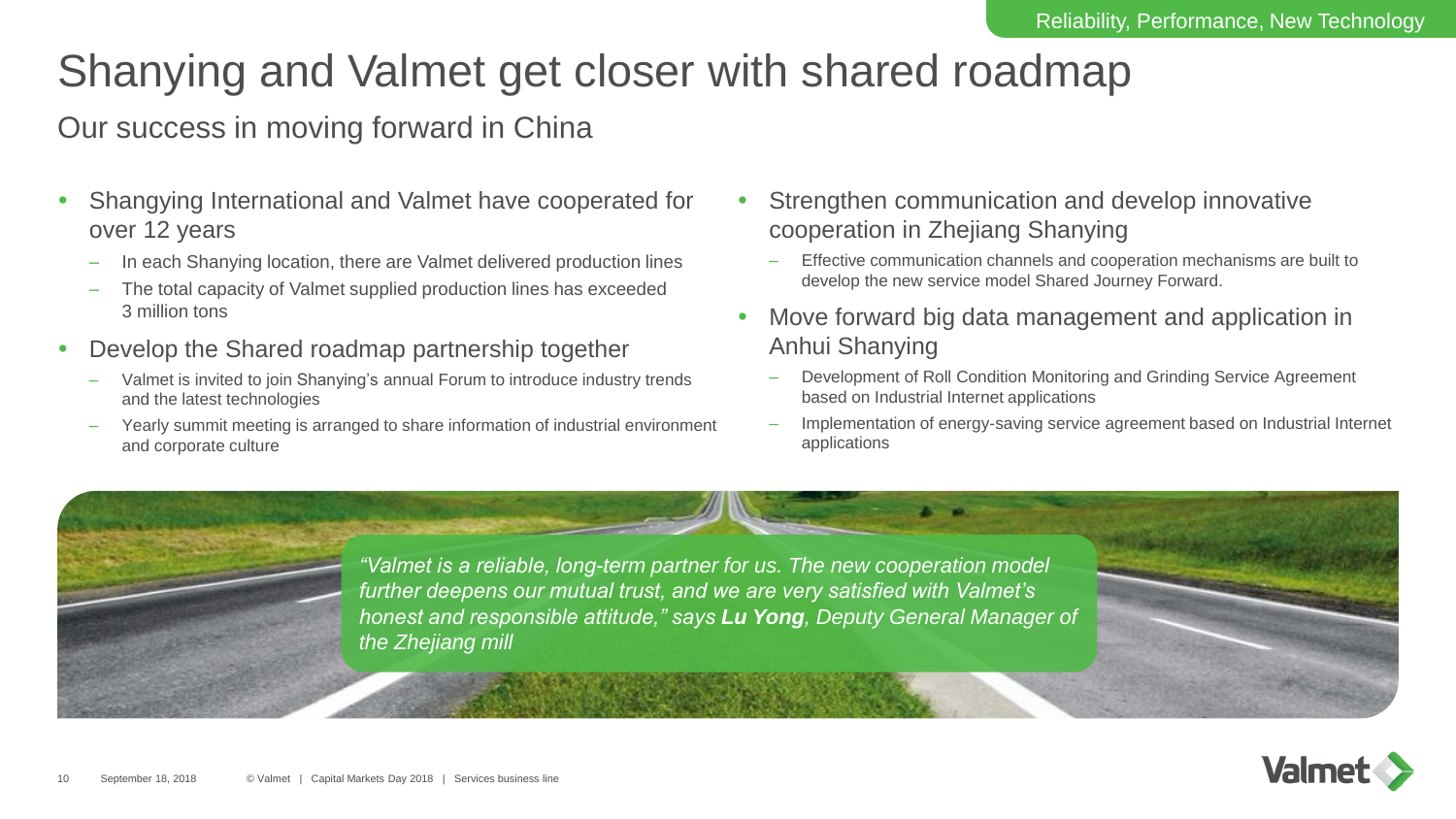### Shanying and Valmet get closer with shared roadmap

### Our success in moving forward in China

- Shangying International and Valmet have cooperated for over 12 years
	- In each Shanying location, there are Valmet delivered production lines
	- The total capacity of Valmet supplied production lines has exceeded 3 million tons
- Develop the Shared roadmap partnership together
	- Valmet is invited to join Shanying's annual Forum to introduce industry trends and the latest technologies
	- Yearly summit meeting is arranged to share information of industrial environment and corporate culture
- Strengthen communication and develop innovative cooperation in Zhejiang Shanying
	- Effective communication channels and cooperation mechanisms are built to develop the new service model Shared Journey Forward.
- Move forward big data management and application in Anhui Shanying
	- Development of Roll Condition Monitoring and Grinding Service Agreement based on Industrial Internet applications
	- Implementation of energy-saving service agreement based on Industrial Internet applications